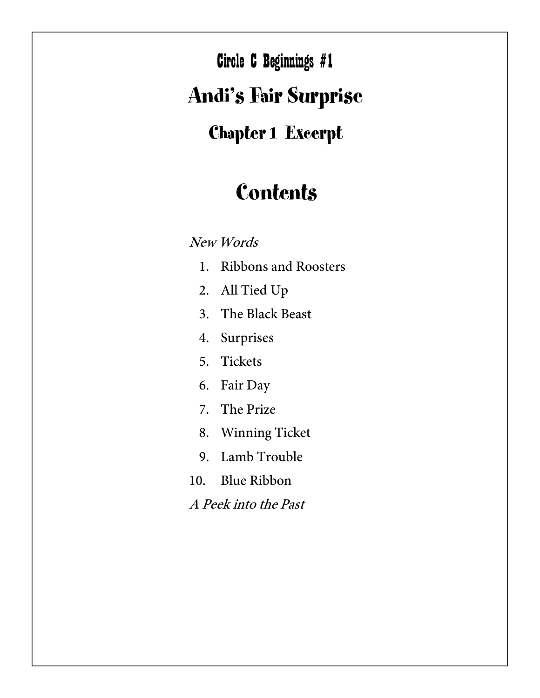$\mathbf{A}$  and  $\mathbf{A}$   $\mathbf{A}$  and  $\mathbf{A}$  and  $\mathbf{A}$  and  $\mathbf{A}$  and  $\mathbf{A}$ Circle C Beginnings #1

## Andi's Fair Surprise

## Chapter 1 Excerpt

## **Contents**

New Words

- 1. Ribbons and Roosters
- 2. All Tied Up
- 3. The Black Beast
- 4. Surprises
- 5. Tickets
- 6. Fair Day
- 7. The Prize
- 8. Winning Ticket
- 9. Lamb Trouble
- 10. Blue Ribbon
- A Peek into the Past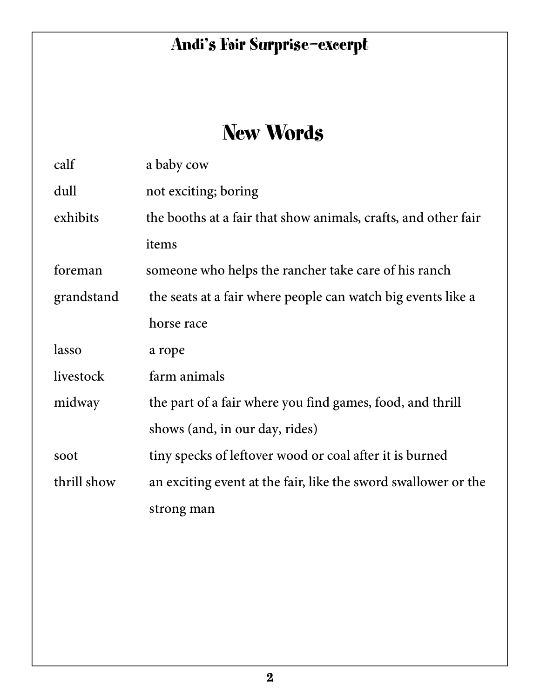## New Words

| calf        | a baby cow                                                     |
|-------------|----------------------------------------------------------------|
| dull        | not exciting; boring                                           |
| exhibits    | the booths at a fair that show animals, crafts, and other fair |
|             | items                                                          |
| foreman     | someone who helps the rancher take care of his ranch           |
| grandstand  | the seats at a fair where people can watch big events like a   |
|             | horse race                                                     |
| lasso       | a rope                                                         |
| livestock   | farm animals                                                   |
| midway      | the part of a fair where you find games, food, and thrill      |
|             | shows (and, in our day, rides)                                 |
| soot        | tiny specks of leftover wood or coal after it is burned        |
| thrill show | an exciting event at the fair, like the sword swallower or the |
|             | strong man                                                     |
|             |                                                                |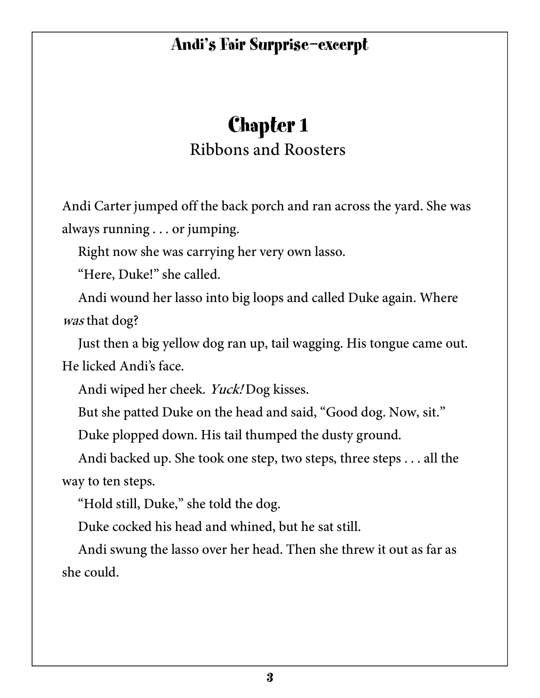## Chapter 1 Ribbons and Roosters

Andi Carter jumped off the back porch and ran across the yard. She was always running . . . or jumping.

Right now she was carrying her very own lasso.

"Here, Duke!" she called.

Andi wound her lasso into big loops and called Duke again. Where was that dog?

Just then a big yellow dog ran up, tail wagging. His tongue came out. He licked Andi's face.

Andi wiped her cheek. Yuck! Dog kisses.

But she patted Duke on the head and said, "Good dog. Now, sit."

Duke plopped down. His tail thumped the dusty ground.

Andi backed up. She took one step, two steps, three steps . . . all the way to ten steps.

"Hold still, Duke," she told the dog.

Duke cocked his head and whined, but he sat still.

Andi swung the lasso over her head. Then she threw it out as far as she could.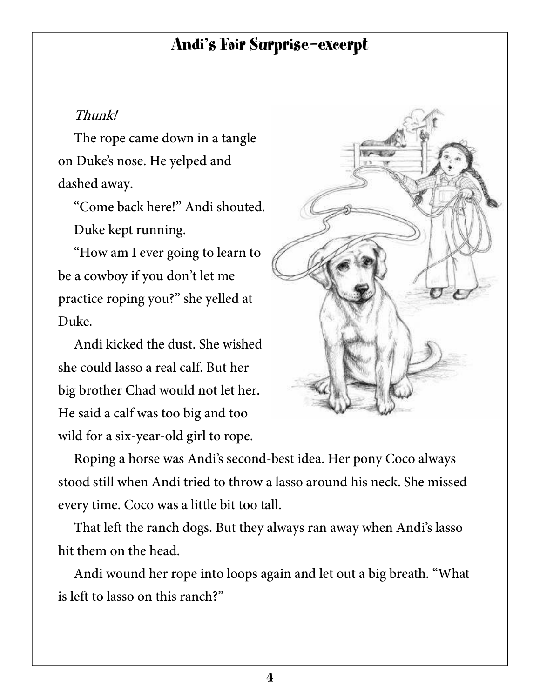#### Thunk!

The rope came down in a tangle on Duke's nose. He yelped and dashed away.

"Come back here!" Andi shouted. Duke kept running.

"How am I ever going to learn to be a cowboy if you don't let me practice roping you?" she yelled at Duke.

Andi kicked the dust. She wished she could lasso a real calf. But her big brother Chad would not let her. He said a calf was too big and too wild for a six-year-old girl to rope.



Roping a horse was Andi's second-best idea. Her pony Coco always stood still when Andi tried to throw a lasso around his neck. She missed every time. Coco was a little bit too tall.

That left the ranch dogs. But they always ran away when Andi's lasso hit them on the head.

Andi wound her rope into loops again and let out a big breath. "What is left to lasso on this ranch?"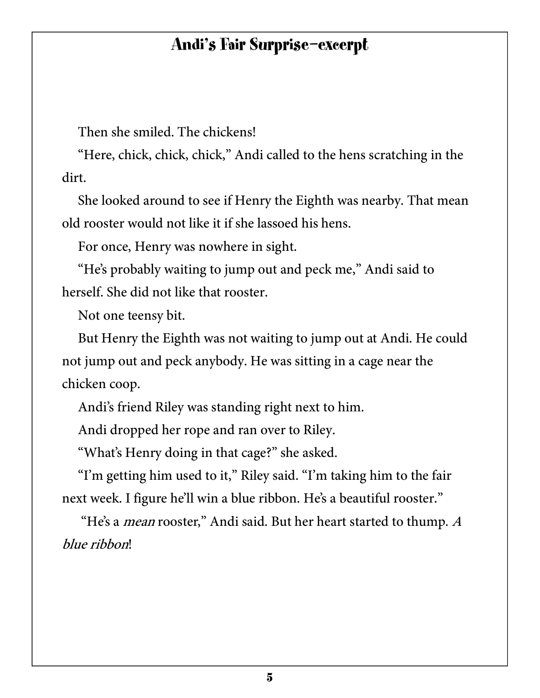Then she smiled. The chickens!

"Here, chick, chick, chick," Andi called to the hens scratching in the dirt.

She looked around to see if Henry the Eighth was nearby. That mean old rooster would not like it if she lassoed his hens.

For once, Henry was nowhere in sight.

"He's probably waiting to jump out and peck me," Andi said to herself. She did not like that rooster.

Not one teensy bit.

But Henry the Eighth was not waiting to jump out at Andi. He could not jump out and peck anybody. He was sitting in a cage near the chicken coop.

Andi's friend Riley was standing right next to him.

Andi dropped her rope and ran over to Riley.

"What's Henry doing in that cage?" she asked.

"I'm getting him used to it," Riley said. "I'm taking him to the fair next week. I figure he'll win a blue ribbon. He's a beautiful rooster."

"He's a *mean* rooster," Andi said. But her heart started to thump. A blue ribbon!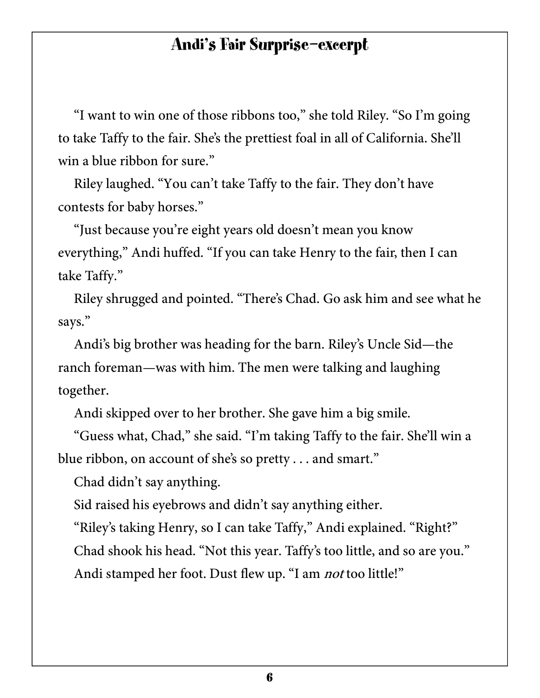"I want to win one of those ribbons too," she told Riley. "So I'm going to take Taffy to the fair. She's the prettiest foal in all of California. She'll win a blue ribbon for sure."

Riley laughed. "You can't take Taffy to the fair. They don't have contests for baby horses."

"Just because you're eight years old doesn't mean you know everything," Andi huffed. "If you can take Henry to the fair, then I can take Taffy."

Riley shrugged and pointed. "There's Chad. Go ask him and see what he says."

Andi's big brother was heading for the barn. Riley's Uncle Sid—the ranch foreman—was with him. The men were talking and laughing together.

Andi skipped over to her brother. She gave him a big smile.

"Guess what, Chad," she said. "I'm taking Taffy to the fair. She'll win a blue ribbon, on account of she's so pretty . . . and smart."

Chad didn't say anything.

Sid raised his eyebrows and didn't say anything either.

"Riley's taking Henry, so I can take Taffy," Andi explained. "Right?" Chad shook his head. "Not this year. Taffy's too little, and so are you." Andi stamped her foot. Dust flew up. "I am *not* too little!"